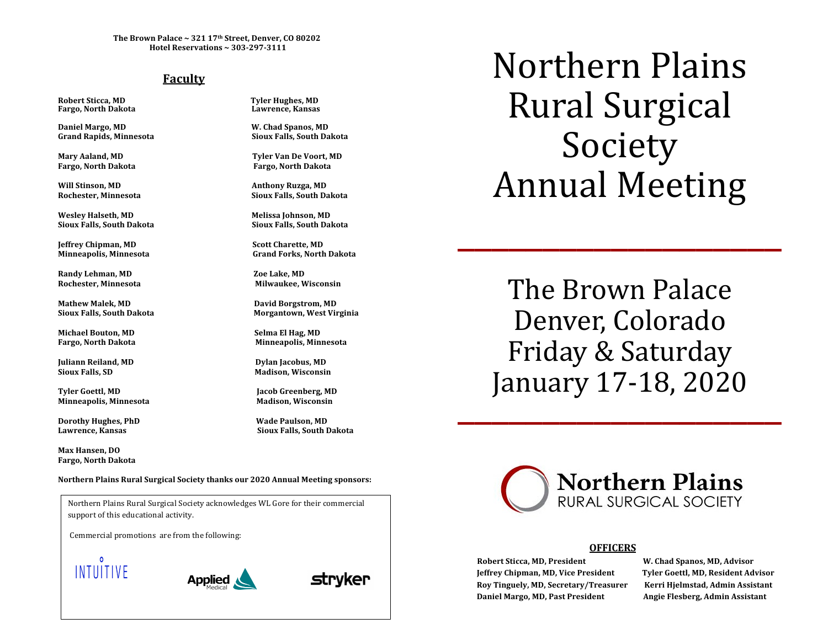The Brown Palace  $\sim 321$   $17<sup>th</sup>$  Street, Denver, CO 80202 **Hotel Reservations ~ 303-297-3111**

# **Faculty**

**Fargo, North Dakota Lawrence, Kansas**

Daniel Margo, MD W. Chad Spanos, MD **Grand Rapids, Minnesota Sioux Falls, South Dakota**

Will Stinson, MD **Anthony Ruzga, MD Anthony Ruzga, MD** 

**Wesley Halseth, MD Melissa Johnson, MD Sioux Falls, South Dakota Sioux Falls, South Dakota**

**Jeffrey Chipman, MD Scott Charette, MD**

**Randy Lehman, MD Zoe Lake, MD Rochester, Minnesota Milwaukee, Wisconsin**

Mathew Malek, MD **David Borgstrom, MD** 

Michael Bouton, MD Selma El Hag, MD

**Juliann Reiland, MD Dylan Jacobus, MD Sioux Falls, SD Madison, Wisconsin**

**Tyler Goettl, MD Jacob Greenberg, MD Minneapolis, Minnesota Madison, Wisconsin**

**Dorothy Hughes, PhD Wade Paulson, MD**

**Max Hansen, DO Fargo, North Dakota**

**Robert Sticca, MD Tyler Hughes, MD**

**Mary Aaland, MD Tyler Van De Voort, MD Fargo, North Dakota Fargo, North Dakota**

**Rochester, Minnesota Sioux Falls, South Dakota**

**Minneapolis, Minnesota Grand Forks, North Dakota**

**Sioux Falls, South Dakota Morgantown, West Virginia** 

**Fargo, North Dakota Minneapolis, Minnesota**

**Lawrence, Kansas Sioux Falls, South Dakota**

Northern Plains Rural Surgical Society thanks our 2020 Annual Meeting sponsors:

support of this educational activity. Northern Plains Rural Surgical Society acknowledges WL Gore for their commercial

**Cemmercial promotions** are from the following:







Northern Plains Rural Surgical Society Annual Meeting

 $\overline{\phantom{a}}$ 

The Brown Palace Denver, Colorado Friday & Saturday January 17-18, 2020



## **OFFICERS**

**Robert Sticca, MD, President** *W.* **Chad Spanos, MD, Advisor**  $\blacksquare$ Roy Tinguely, MD, Secretary/Treasurer Kerri Hjelmstad, Admin Assistant **Daniel Margo, MD, Past President Angie Flesberg, Admin Assistant**